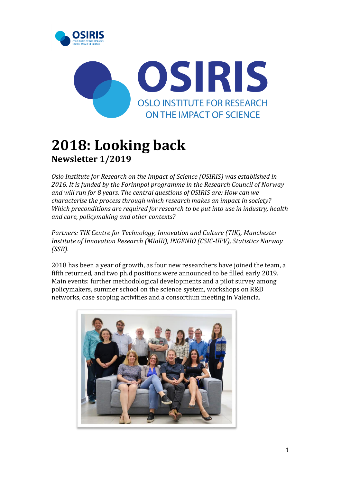



# **2018: Looking back Newsletter 1/2019**

*Oslo Institute for Research on the Impact of Science (OSIRIS) was established in 2016. It is funded by the Forinnpol programme in the Research Council of Norway and will run for 8 years. The central questions of OSIRIS are: How can we characterise the process through which research makes an impact in society? Which preconditions are required for research to be put into use in industry, health and care, policymaking and other contexts?* 

*Partners: TIK Centre for Technology, Innovation and Culture (TIK), Manchester Institute of Innovation Research (MIoIR), INGENIO (CSIC-UPV), Statistics Norway (SSB).*

2018 has been a year of growth, as four new researchers have joined the team, a fifth returned, and two ph.d positions were announced to be filled early 2019. Main events: further methodological developments and a pilot survey among policymakers, summer school on the science system, workshops on R&D networks, case scoping activities and a consortium meeting in Valencia.

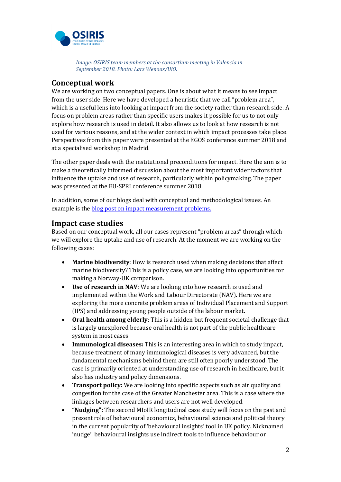

*Image: OSIRIS team members at the consortium meeting in Valencia in September 2018. Photo: Lars Wenaas/UiO.*

## **Conceptual work**

We are working on two conceptual papers. One is about what it means to see impact from the user side. Here we have developed a heuristic that we call "problem area", which is a useful lens into looking at impact from the society rather than research side. A focus on problem areas rather than specific users makes it possible for us to not only explore how research is used in detail. It also allows us to look at how research is not used for various reasons, and at the wider context in which impact processes take place. Perspectives from this paper were presented at the EGOS conference summer 2018 and at a specialised workshop in Madrid.

The other paper deals with the institutional preconditions for impact. Here the aim is to make a theoretically informed discussion about the most important wider factors that influence the uptake and use of research, particularly within policymaking. The paper was presented at the EU-SPRI conference summer 2018.

In addition, some of our blogs deal with conceptual and methodological issues. An example is the **blog post on impact measurement problems**.

## **Impact case studies**

Based on our conceptual work, all our cases represent "problem areas" through which we will explore the uptake and use of research. At the moment we are working on the following cases:

- **Marine biodiversity**: How is research used when making decisions that affect marine biodiversity? This is a policy case, we are looking into opportunities for making a Norway-UK comparison.
- **Use of research in NAV**: We are looking into how research is used and implemented within the Work and Labour Directorate (NAV). Here we are exploring the more concrete problem areas of Individual Placement and Support (IPS) and addressing young people outside of the labour market.
- **Oral health among elderly**: This is a hidden but frequent societal challenge that is largely unexplored because oral health is not part of the public healthcare system in most cases.
- **Immunological diseases:** This is an interesting area in which to study impact, because treatment of many immunological diseases is very advanced, but the fundamental mechanisms behind them are still often poorly understood. The case is primarily oriented at understanding use of research in healthcare, but it also has industry and policy dimensions.
- **Transport policy:** We are looking into specific aspects such as air quality and congestion for the case of the Greater Manchester area. This is a case where the linkages between researchers and users are not well developed.
- **"Nudging":** The second MIoIR longitudinal case study will focus on the past and present role of behavioural economics, behavioural science and political theory in the current popularity of 'behavioural insights' tool in UK policy. Nicknamed 'nudge', behavioural insights use indirect tools to influence behaviour or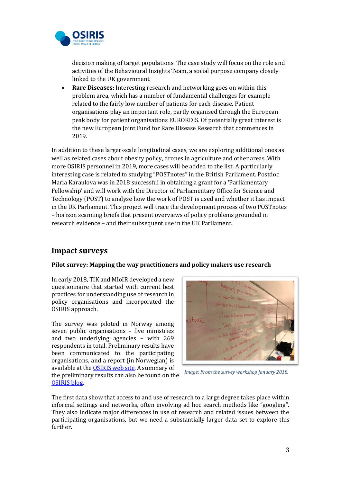

decision making of target populations. The case study will focus on the role and activities of the Behavioural Insights Team, a social purpose company closely linked to the UK government.

 **Rare Diseases:** Interesting research and networking goes on within this problem area, which has a number of fundamental challenges for example related to the fairly low number of patients for each disease. Patient organisations play an important role, partly organised through the European peak body for patient organisations EURORDIS. Of potentially great interest is the new European Joint Fund for Rare Disease Research that commences in 2019.

In addition to these larger-scale longitudinal cases, we are exploring additional ones as well as related cases about obesity policy, drones in agriculture and other areas. With more OSIRIS personnel in 2019, more cases will be added to the list. A particularly interesting case is related to studying "POSTnotes" in the British Parliament. Postdoc Maria Karaulova was in 2018 successful in obtaining a grant for a 'Parliamentary Fellowship' and will work with the Director of Parliamentary Office for Science and Technology (POST) to analyse how the work of POST is used and whether it has impact in the UK Parliament. This project will trace the development process of two POSTnotes – horizon scanning briefs that present overviews of policy problems grounded in research evidence – and their subsequent use in the UK Parliament.

## **Impact surveys**

#### **Pilot survey: Mapping the way practitioners and policy makers use research**

In early 2018, TIK and MIoIR developed a new questionnaire that started with current best practices for understanding use of research in policy organisations and incorporated the OSIRIS approach.

The survey was piloted in Norway among seven public organisations – five ministries and two underlying agencies – with 269 respondents in total. Preliminary results have been communicated to the participating organisations, and a report (in Norwegian) is available at th[e OSIRIS web site.](https://www.sv.uio.no/tik/english/research/projects/osiris/osirisblog/measuring-impact.html) A summary of the preliminary results can also be found on the [OSIRIS blog.](https://www.sv.uio.no/tik/english/research/projects/osiris/osirisblog/measuring-impact.html)



*Image: From the survey workshop January 2018.*

The first data show that access to and use of research to a large degree takes place within informal settings and networks, often involving ad hoc search methods like "googling". They also indicate major differences in use of research and related issues between the participating organisations, but we need a substantially larger data set to explore this further.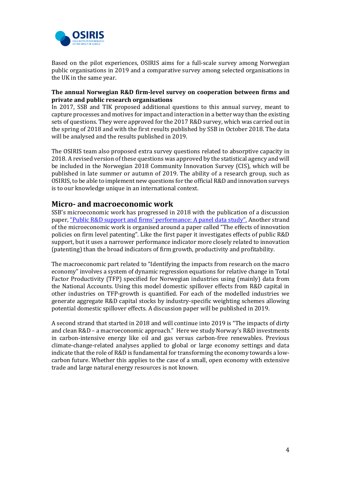

Based on the pilot experiences, OSIRIS aims for a full-scale survey among Norwegian public organisations in 2019 and a comparative survey among selected organisations in the UK in the same year.

#### **The annual Norwegian R&D firm-level survey on cooperation between firms and private and public research organisations**

In 2017, SSB and TIK proposed additional questions to this annual survey, meant to capture processes and motives for impact and interaction in a better way than the existing sets of questions. They were approved for the 2017 R&D survey, which was carried out in the spring of 2018 and with the first results published by SSB in October 2018. The data will be analysed and the results published in 2019.

The OSIRIS team also proposed extra survey questions related to absorptive capacity in 2018. A revised version of these questions was approved by the statistical agency and will be included in the Norwegian 2018 Community Innovation Survey (CIS), which will be published in late summer or autumn of 2019. The ability of a research group, such as OSIRIS, to be able to implement new questions for the official R&D and innovation surveys is to our knowledge unique in an international context.

## **Micro- and macroeconomic work**

SSB's microeconomic work has progressed in 2018 with the publication of a discussion paper, ["Public R&D support and firms' performance: A panel data study".](https://www.ssb.no/en/forskning/discussion-papers/public-r-d-support-and-firms-performance) Another strand of the microeconomic work is organised around a paper called "The effects of innovation policies on firm level patenting". Like the first paper it investigates effects of public R&D support, but it uses a narrower performance indicator more closely related to innovation (patenting) than the broad indicators of firm growth, productivity and profitability.

The macroeconomic part related to "Identifying the impacts from research on the macro economy" involves a system of dynamic regression equations for relative change in Total Factor Productivity (TFP) specified for Norwegian industries using (mainly) data from the National Accounts. Using this model domestic spillover effects from R&D capital in other industries on TFP-growth is quantified. For each of the modelled industries we generate aggregate R&D capital stocks by industry-specific weighting schemes allowing potential domestic spillover effects. A discussion paper will be published in 2019.

A second strand that started in 2018 and will continue into 2019 is "The impacts of dirty and clean R&D – a macroeconomic approach." Here we study Norway's R&D investments in carbon-intensive energy like oil and gas versus carbon-free renewables. Previous climate-change-related analyses applied to global or large economy settings and data indicate that the role of R&D is fundamental for transforming the economy towards a lowcarbon future. Whether this applies to the case of a small, open economy with extensive trade and large natural energy resources is not known.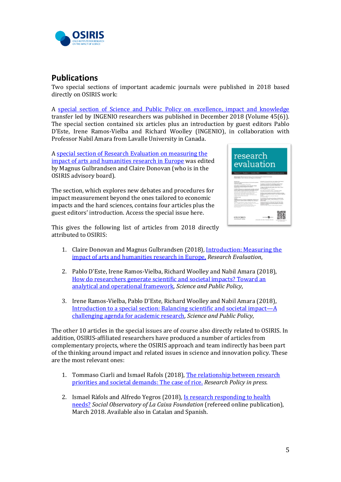

# **Publications**

Two special sections of important academic journals were published in 2018 based directly on OSIRIS work:

A [special section of Science and Public Policy on excellence, impact and knowledge](https://www.sv.uio.no/tik/english/research/projects/osiris/publications/ingenio-public-policy.html) transfer led by INGENIO researchers was published in December 2018 (Volume 45(6)). The special section contained six articles plus an introduction by guest editors Pablo D'Este, Irene Ramos-Vielba and Richard Woolley (INGENIO), in collaboration with Professor Nabil Amara from Lavalle University in Canada.

A [special section of Research Evaluation on measuring the](https://academic.oup.com/rev/pages/virtual_issue_measuring_impact_arts_humanities.)  [impact of arts and humanities research in Europe](https://academic.oup.com/rev/pages/virtual_issue_measuring_impact_arts_humanities.) was edited by Magnus Gulbrandsen and Claire Donovan (who is in the OSIRIS advisory board).

The section, which explores new debates and procedures for impact measurement beyond the ones tailored to economic impacts and the hard sciences, contains four articles plus the guest editors' introduction. Access the special issue here.



This gives the following list of articles from 2018 directly attributed to OSIRIS:

- 1. Claire Donovan and Magnus Gulbrandsen (2018)[, Introduction: Measuring the](https://doi.org/10.1093/reseval/rvy019)  [impact of arts and humanities research in Europe,](https://doi.org/10.1093/reseval/rvy019) *Research Evaluation*,
- 2. Pablo D'Este, Irene Ramos-Vielba, Richard Woolley and Nabil Amara (2018), [How do researchers generate scientific and societal impacts? Toward an](https://doi.org/10.1093/scipol/scy023)  [analytical and operational framework,](https://doi.org/10.1093/scipol/scy023) *Science and Public Policy*,
- 3. Irene Ramos-Vielba, Pablo D'Este, Richard Woolley and Nabil Amara (2018), [Introduction to a special section: Balancing scientific and societal impact](https://doi.org/10.1093/scipol/scy033)—A [challenging agenda for academic research,](https://doi.org/10.1093/scipol/scy033) *Science and Public Policy*,

The other 10 articles in the special issues are of course also directly related to OSIRIS. In addition, OSIRIS-affiliated researchers have produced a number of articles from complementary projects, where the OSIRIS approach and team indirectly has been part of the thinking around impact and related issues in science and innovation policy. These are the most relevant ones:

- 1. Tommaso Ciarli and Ismael Rafols (2018), The relationship between research [priorities and societal demands: The case of rice.](https://doi.org/10.1016/j.respol.2018.10.027) *Research Policy in press.*
- 2. Ismael Ràfols and Alfredo Yegros (2018), Is research responding to health [needs?](https://observatoriosociallacaixa.org/en/-/responde-la-investigacion-a-las-necesidades-de-salud) *Social Observatory of La Caixa Foundation* (refereed online publication), March 2018. Available also in Catalan and Spanish.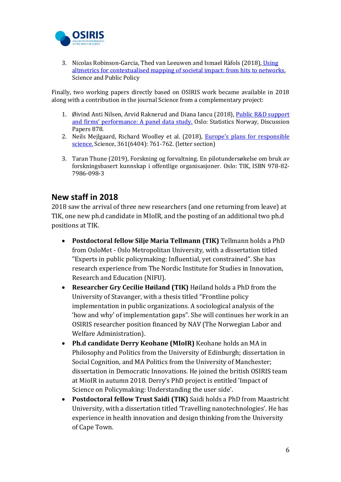

3. Nicolas Robinson-Garcia, Thed van Leeuwen and Ismael Ràfols (2018), [Using](file:///C:/Users/lenang/AppData/Local/Microsoft/Windows/INetCache/Content.Outlook/JYXX3RWD/doi.org/10.1093/scipol/scy024)  [altmetrics for contextualised mapping of societal impact: from hits to networks,](file:///C:/Users/lenang/AppData/Local/Microsoft/Windows/INetCache/Content.Outlook/JYXX3RWD/doi.org/10.1093/scipol/scy024) Science and Public Policy

Finally, two working papers directly based on OSIRIS work became available in 2018 along with a contribution in the journal Science from a complementary project:

- 1. Øivind Anti Nilsen, Arvid Raknerud and Diana Iancu (2018), Public R&D support [and firms' performance: A panel data study.](https://ideas.repec.org/p/ssb/dispap/878.html) Oslo: Statistics Norway, Discussion Papers 878.
- 2. Neils Mejlgaard, Richard Woolley et al. (2018), [Europe's plans for responsible](file:///C:/Users/lenang/AppData/Local/Microsoft/Windows/INetCache/Content.Outlook/JYXX3RWD/10.1126/science.aav0400)  [science.](file:///C:/Users/lenang/AppData/Local/Microsoft/Windows/INetCache/Content.Outlook/JYXX3RWD/10.1126/science.aav0400) Science, 361(6404): 761-762. (letter section)
- 3. Taran Thune (2019), Forskning og forvaltning. En pilotundersøkelse om bruk av forskningsbasert kunnskap i offentlige organisasjoner. Oslo: TIK, ISBN 978-82- 7986-098-3

# **New staff in 2018**

2018 saw the arrival of three new researchers (and one returning from leave) at TIK, one new ph.d candidate in MIoIR, and the posting of an additional two ph.d positions at TIK.

- **Postdoctoral fellow Silje Maria Tellmann (TIK)** Tellmann holds a PhD from OsloMet - Oslo Metropolitan University, with a dissertation titled "Experts in public policymaking: Influential, yet constrained". She has research experience from The Nordic Institute for Studies in Innovation, Research and Education (NIFU).
- **Researcher Gry Cecilie Høiland (TIK)** Høiland holds a PhD from the University of Stavanger, with a thesis titled "Frontline policy implementation in public organizations. A sociological analysis of the 'how and why' of implementation gaps". She will continues her work in an OSIRIS researcher position financed by NAV (The Norwegian Labor and Welfare Administration).
- **Ph.d candidate Derry Keohane (MIoIR)** Keohane holds an MA in Philosophy and Politics from the University of Edinburgh; dissertation in Social Cognition, and MA Politics from the University of Manchester; dissertation in Democratic Innovations. He joined the british OSIRIS team at MioIR in autumn 2018. Derry's PhD project is entitled 'Impact of Science on Policymaking: Understanding the user side'.
- **Postdoctoral fellow Trust Saidi (TIK)** Saidi holds a PhD from Maastricht University, with a dissertation titled 'Travelling nanotechnologies'. He has experience in health innovation and design thinking from the University of Cape Town.